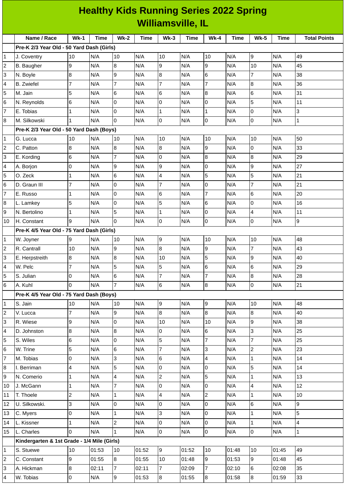| <b>Healthy Kids Running Series 2022 Spring</b> |                                             |                     |            |                |             |                 |             |                  |       |                  |             |                     |
|------------------------------------------------|---------------------------------------------|---------------------|------------|----------------|-------------|-----------------|-------------|------------------|-------|------------------|-------------|---------------------|
|                                                | <b>Williamsville, IL</b>                    |                     |            |                |             |                 |             |                  |       |                  |             |                     |
|                                                | Name / Race                                 | $Wk-1$              | Time       | $Wk-2$         | <b>Time</b> | $Wk-3$          | <b>Time</b> | <b>Wk-4</b>      | Time  | <b>Wk-5</b>      | <b>Time</b> | <b>Total Points</b> |
|                                                | Pre-K 2/3 Year Old - 50 Yard Dash (Girls)   |                     |            |                |             |                 |             |                  |       |                  |             |                     |
| 1                                              | J. Coventry                                 | 10                  | N/A        | 10             | N/A         | 10              | N/A         | 10               | N/A   | 9                | N/A         | 49                  |
| 2                                              | B. Baugher                                  | 9                   | N/A        | 8              | N/A         | 9               | N/A         | 9                | N/A   | 10               | N/A         | 45                  |
| 3                                              | N. Boyle                                    | 8                   | N/A        | 9              | N/A         | 8               | N/A         | $6\phantom{.}6$  | N/A   | 7                | N/A         | 38                  |
| 4                                              | <b>B.</b> Zwiefel                           | 7                   | N/A        | $\overline{7}$ | N/A         | 7               | N/A         | $\overline{7}$   | N/A   | 8                | N/A         | 36                  |
| 5                                              | M. Jain                                     | 5                   | N/A        | 6              | N/A         | 6               | N/A         | 8                | N/A   | 6                | N/A         | 31                  |
| 6                                              | N. Reynolds                                 | 6                   | N/A        | 0              | N/A         | 0               | N/A         | 0                | N/A   | 5                | N/A         | 11                  |
| 7                                              | E. Tobias                                   | 1                   | N/A        | 0              | N/A         | $\mathbf{1}$    | N/A         | $\mathbf 1$      | N/A   | 0                | N/A         | 3                   |
| 8                                              | M. Silkowski                                | $\mathbf{1}$        | N/A        | $\overline{0}$ | N/A         | $\overline{0}$  | N/A         | $\mathsf 0$      | N/A   | 0                | N/A         | $\mathbf{1}$        |
|                                                | Pre-K 2/3 Year Old - 50 Yard Dash (Boys)    |                     |            |                |             |                 |             |                  |       |                  |             |                     |
| 1                                              | G. Lucca                                    | 10                  | N/A        | 10             | N/A         | 10              | N/A         | 10               | N/A   | 10               | N/A         | 50                  |
| 2                                              | C. Patton                                   | 8                   | N/A        | 8              | N/A         | 8               | N/A         | 9                | N/A   | $\mathsf 0$      | N/A         | 33                  |
| 3                                              | E. Kording                                  | 6                   | N/A        | $\overline{7}$ | N/A         | 0               | N/A         | 8                | N/A   | $\boldsymbol{8}$ | N/A         | 29                  |
| 4                                              | A. Borjon                                   | 0                   | N/A        | 9              | N/A         | 9               | N/A         | 0                | N/A   | 9                | N/A         | 27                  |
| 5                                              | O. Zeck                                     | 1                   | N/A        | 6              | N/A         | 4               | N/A         | 5                | N/A   | 5                | N/A         | 21                  |
| 6                                              | D. Graun III                                | $\overline{7}$      | N/A        | 0              | N/A         | 7               | N/A         | 0                | N/A   | 7                | N/A         | 21                  |
| 7                                              | E. Russo                                    | 1                   | N/A        | $\mathsf{O}$   | N/A         | 6               | N/A         | $\overline{7}$   | N/A   | 6                | N/A         | 20                  |
| 8                                              | L. Lamkey                                   | 5                   | N/A        | 0              | N/A         | 5               | N/A         | 6                | N/A   | 0                | N/A         | 16                  |
| 9                                              | N. Bertolino                                | 1                   | N/A        | 5              | N/A         | 1               | N/A         | 0                | N/A   | 4                | N/A         | 11                  |
| 10                                             | H. Constant                                 | 9                   | N/A        | $\Omega$       | N/A         | O               | N/A         | $\pmb{0}$        | N/A   | 0                | N/A         | 9                   |
|                                                | Pre-K 4/5 Year Old - 75 Yard Dash (Girls)   |                     |            |                |             |                 |             |                  |       |                  |             |                     |
| 1                                              | W. Joyner                                   | 9                   | N/A        | 10             | N/A         | 9               | N/A         | 10               | N/A   | 10               | N/A         | 48                  |
| 2                                              | R. Cantrall                                 | 10                  | N/A        | 9              | N/A         | 8               | N/A         | 9                | N/A   | 7                | N/A         | 43                  |
| 3                                              | E. Herpstreith                              | 8                   | N/A        | 8              | N/A         | 10              | N/A         | 5                | N/A   | 9                | N/A         | 40                  |
| 4                                              | W. Pelc                                     | $\overline{7}$      | N/A        | 5              | N/A         | 5               | N/A         | 6                | N/A   | $\,6$            | N/A         | 29                  |
| 5                                              | S. Julian                                   | 0                   | N/A        | 6              | N/A         | $\overline{7}$  | N/A         | $\overline{7}$   | N/A   | 8                | N/A         | 28                  |
| 6                                              | A. Kuhl                                     | 0                   | N/A        | $\overline{7}$ | N/A         | $6\overline{6}$ | N/A         | $\boldsymbol{8}$ | N/A   | $\overline{0}$   | N/A         | 21                  |
|                                                | Pre-K 4/5 Year Old - 75 Yard Dash (Boys)    |                     |            |                |             |                 |             |                  |       |                  |             |                     |
| 1                                              | S. Jain                                     | 10                  | N/A        | 10             | N/A         | 9               | N/A         | 9                | N/A   | 10               | N/A         | 48                  |
| 2                                              | V. Lucca                                    | $\overline{7}$      | N/A        | 9              | N/A         | $8\,$           | N/A         | $\boldsymbol{8}$ | N/A   | $\overline{8}$   | N/A         | 40                  |
| 3                                              | R. Wiese                                    | 9                   | N/A        | l0             | N/A         | 10              | N/A         | 10               | N/A   | 9                | N/A         | 38                  |
| 4                                              | D. Johnston                                 | 8                   | N/A        | 8              | N/A         | 0               | N/A         | 6                | N/A   | 3                | N/A         | 25                  |
| 5                                              | S. Wiles                                    | 6                   | N/A        | $\overline{0}$ | N/A         | 5               | N/A         | $\overline{7}$   | N/A   | $\overline{7}$   | N/A         | 25                  |
| 6                                              | W. Trine                                    | 5                   | N/A        | 6              | N/A         | $\overline{7}$  | N/A         | 3                | N/A   | $\overline{c}$   | N/A         | 23                  |
| 7                                              | M. Tobias                                   | 0                   | N/A        | $\overline{3}$ | N/A         | 6               | N/A         | 4                | N/A   | $\mathbf{1}$     | N/A         | 14                  |
|                                                |                                             | 4                   |            | 5              |             | lo.             | N/A         | l0               | N/A   | 5                |             | 14                  |
| 8                                              | I. Berriman<br>N. Comerio                   |                     | N/A<br>N/A | $\overline{4}$ | N/A<br>N/A  | $\overline{2}$  | N/A         | 5                | N/A   |                  | N/A<br>N/A  | 13                  |
| 9                                              |                                             | 1                   |            | $\overline{7}$ |             |                 |             | l0               |       | $\mathbf{1}$     |             |                     |
| 10                                             | J. McGann                                   | 1                   | N/A        |                | N/A         | 0               | N/A         |                  | N/A   | 4                | N/A         | 12                  |
| 11                                             | T. Thoele                                   | $\overline{c}$      | N/A        | $\mathbf{1}$   | N/A         | $\overline{4}$  | N/A         | $\overline{c}$   | N/A   | $\mathbf{1}$     | N/A         | 10                  |
| 12                                             | U. Silkowski.                               | 3                   | N/A        | $\overline{0}$ | N/A         | $\overline{0}$  | N/A         | 0                | N/A   | 6                | N/A         | 9                   |
| 13                                             | C. Myers                                    | 0                   | N/A        | $\mathbf{1}$   | N/A         | 3               | N/A         | $\mathsf{O}$     | N/A   | $\mathbf{1}$     | N/A         | 5                   |
| 14                                             | L. Kissner                                  | 1                   | N/A        | $\overline{2}$ | N/A         | 0               | N/A         | l0               | N/A   | $\mathbf{1}$     | N/A         | $\overline{4}$      |
| 15                                             | L. Charles                                  | 0                   | N/A        | $\mathbf{1}$   | N/A         | $\overline{0}$  | N/A         | 0                | N/A   | $\overline{0}$   | N/A         | $\mathbf{1}$        |
|                                                | Kindergarten & 1st Grade - 1/4 Mile (Girls) |                     |            |                |             |                 |             |                  |       |                  |             |                     |
| 1                                              | S. Stuewe                                   | 10                  | 01:53      | 10             | 01:52       | 9               | 01:52       | 10               | 01:48 | 10               | 01:45       | 49                  |
| 2                                              | C. Constant                                 | 9                   | 01:55      | 8              | 01:55       | 10              | 01:48       | 9                | 01:53 | $\overline{9}$   | 01:48       | 45                  |
| 3                                              | A. Hickman                                  | 8                   | 02:11      | $\overline{7}$ | 02:11       | $\overline{7}$  | 02:09       | $\overline{7}$   | 02:10 | 6                | 02:08       | 35                  |
| 4                                              | W. Tobias                                   | $\mathsf{O}\xspace$ | N/A        | $\overline{9}$ | 01:53       | $\bf{8}$        | 01:55       | 8                | 01:58 | $\bf{8}$         | 01:59       | 33                  |